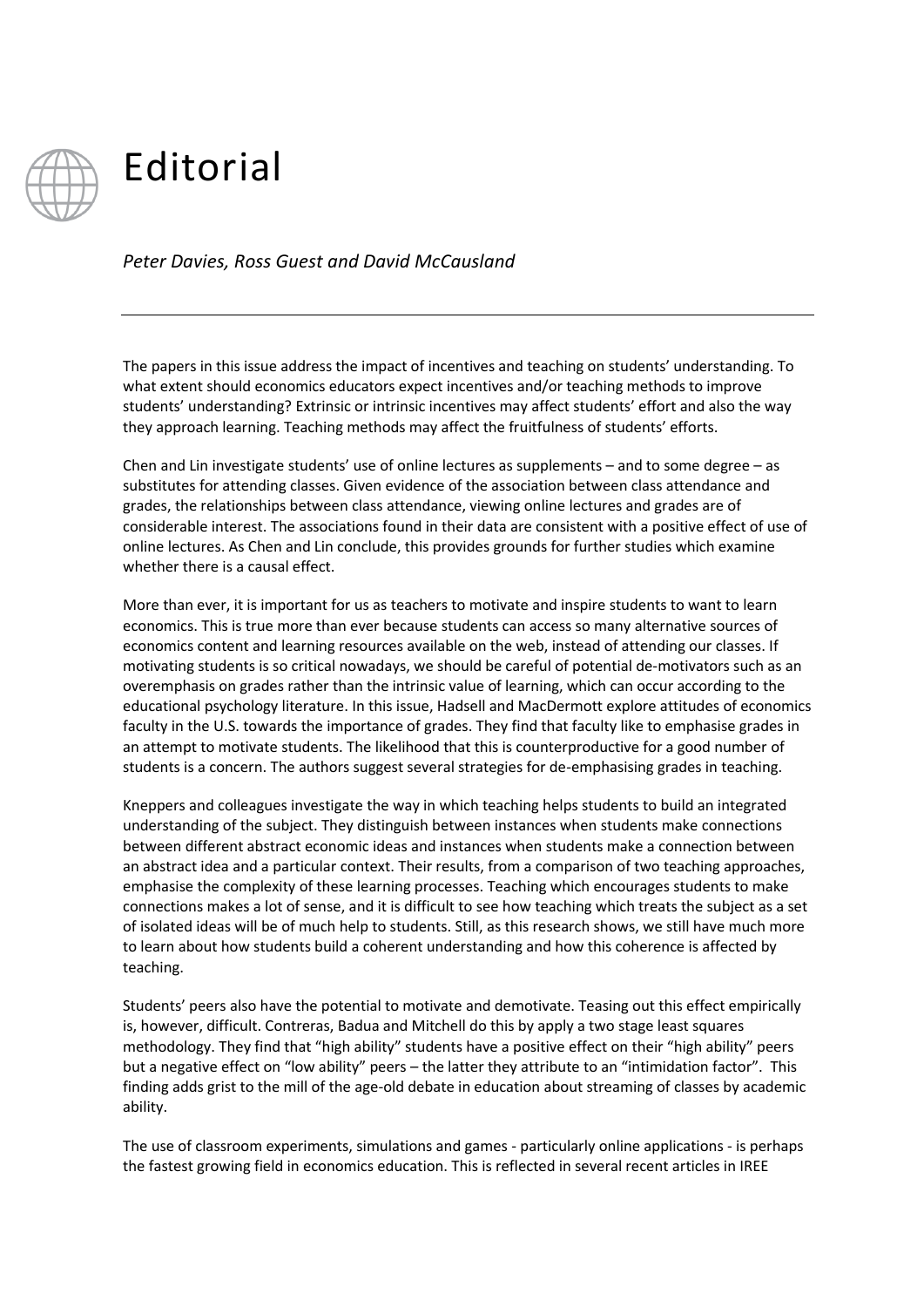

## Editorial

*Peter Davies, Ross Guest and David McCausland*

The papers in this issue address the impact of incentives and teaching on students' understanding. To what extent should economics educators expect incentives and/or teaching methods to improve students' understanding? Extrinsic or intrinsic incentives may affect students' effort and also the way they approach learning. Teaching methods may affect the fruitfulness of students' efforts.

Chen and Lin investigate students' use of online lectures as supplements – and to some degree – as substitutes for attending classes. Given evidence of the association between class attendance and grades, the relationships between class attendance, viewing online lectures and grades are of considerable interest. The associations found in their data are consistent with a positive effect of use of online lectures. As Chen and Lin conclude, this provides grounds for further studies which examine whether there is a causal effect.

More than ever, it is important for us as teachers to motivate and inspire students to want to learn economics. This is true more than ever because students can access so many alternative sources of economics content and learning resources available on the web, instead of attending our classes. If motivating students is so critical nowadays, we should be careful of potential de-motivators such as an overemphasis on grades rather than the intrinsic value of learning, which can occur according to the educational psychology literature. In this issue, Hadsell and MacDermott explore attitudes of economics faculty in the U.S. towards the importance of grades. They find that faculty like to emphasise grades in an attempt to motivate students. The likelihood that this is counterproductive for a good number of students is a concern. The authors suggest several strategies for de-emphasising grades in teaching.

Kneppers and colleagues investigate the way in which teaching helps students to build an integrated understanding of the subject. They distinguish between instances when students make connections between different abstract economic ideas and instances when students make a connection between an abstract idea and a particular context. Their results, from a comparison of two teaching approaches, emphasise the complexity of these learning processes. Teaching which encourages students to make connections makes a lot of sense, and it is difficult to see how teaching which treats the subject as a set of isolated ideas will be of much help to students. Still, as this research shows, we still have much more to learn about how students build a coherent understanding and how this coherence is affected by teaching.

Students' peers also have the potential to motivate and demotivate. Teasing out this effect empirically is, however, difficult. Contreras, Badua and Mitchell do this by apply a two stage least squares methodology. They find that "high ability" students have a positive effect on their "high ability" peers but a negative effect on "low ability" peers – the latter they attribute to an "intimidation factor". This finding adds grist to the mill of the age-old debate in education about streaming of classes by academic ability.

The use of classroom experiments, simulations and games - particularly online applications - is perhaps the fastest growing field in economics education. This is reflected in several recent articles in IREE